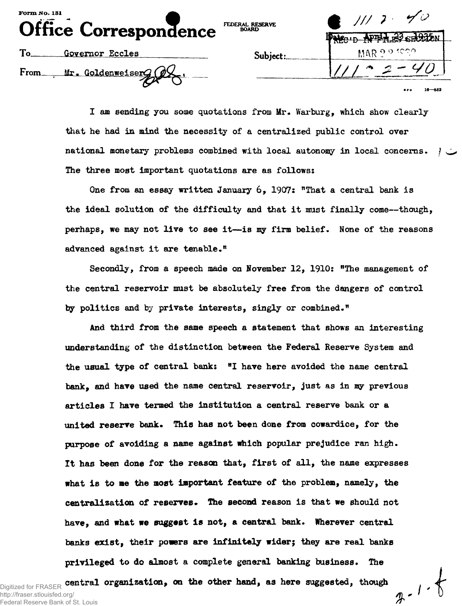| <b>Form No. 131</b><br>Office Correspondence | FEDERAL RESERVE<br><b>BOARD</b> | $\bullet$ 111 7 40<br>Nicup NPT LEY SECULU |
|----------------------------------------------|---------------------------------|--------------------------------------------|
| To.<br>Governor Eccles                       | Subject:                        | MAR 2.9 foon                               |
| Mr. Goldenweiserg (2X<br>From_               |                                 | 16—652<br>0.50                             |

**I am sending you some quotations from Mr. Warburg, which show clearly that he had in mind the necessity of a centralized public control over national monetary problems combined with local autonomy in local concerns. / The three most important quotations are as follows:**

**One from an essay written January 6, 1907: "That a central bank is the ideal solution of the difficulty and that it must finally come—though, perhaps, we may not live to see it—is my firm belief. None of the reasons advanced against it are tenable."**

**Secondly, from a speech made on November 12, 1910: "The management of the central reservoir must be absolutely free from the dangers of control by politics and by private interests, singly or combined."**

**And third from the same speech a statement that shows an interesting understanding of the distinction between the Federal Reserve System and the usual type of central bank: "I have here avoided the name central bank, and have used the name central reservoir, just as in my previous articles I have termed the institution a central reserve bank or a united reserve bank\* This has not been done from cowardice, for the purpose of avoiding a name against which popular prejudice ran high. It has been done for the reason that, first of all, the name expresses what is to me the most important feature of the problem, namely, the centralization of reserves. The second reason is that we should not have, and what we suggest is not, a central bank. Wherever central** banks exist, their powers are infinitely wider; they are real banks **privileged to do almost a complete general banking business. The**

 $2 - 1.8$ 

Digitized for FRASER **central organization, on the other hand, as here suggested, though** http://fraser.stlouisfed.org/ Federal Reserve Bank of St. Louis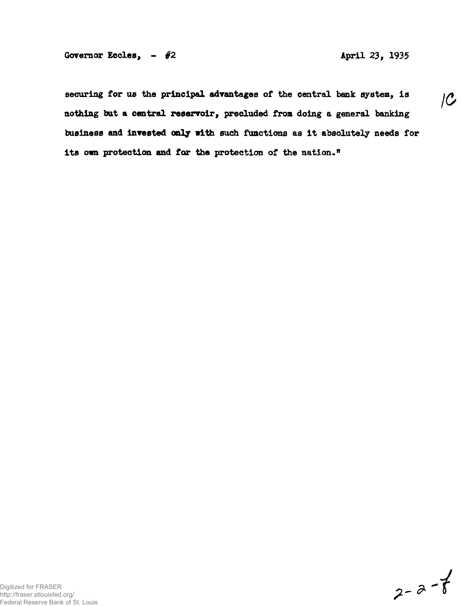securing for us the principal advantages of the central bank system, is  $\overline{C}$ **nothing bat a central reservoir, precluded front doing a general banking business and invested only with such functions as it absolutely needs for its own protection and fox the protection of the nation."**

$$
2 - a - 7
$$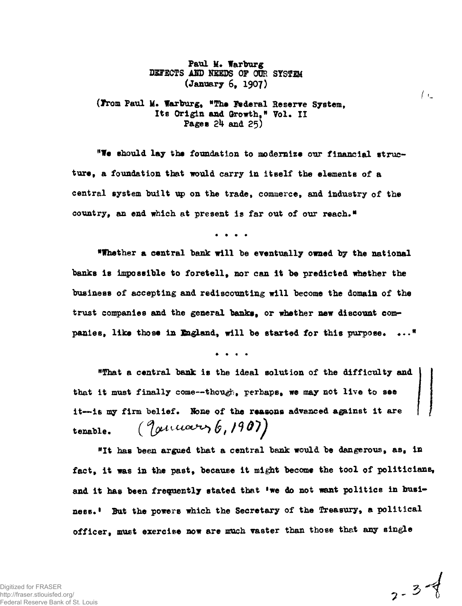Paul M. Warburg **DETECTS ASD NEEDS OF OUR SYSTEM (January 6, 1907)**

**(Irom Paul U. Warburg, "The Federal Reserre System, Its Origin and Growth," Vol. II Pages 2k and 25)**

**"We should lay the foundation to modernize our financial structure, a foundation that would carry in itself the elements of a central system built up on the trade, commerce, and industry of the country, an end which at present is far out of our reach."**

**"Whether a central bank will be eventually owned by the national banks is impossible to foretell, nor can it be predicted whether the business of accepting and rediscounting will become the domain of the trust companies and the general banks, or whether new discount companies, like those in England, will be started for this purpose\* \*.."**

**"That a central bank is the ideal solution of the difficulty and that it must finally come—though, perhaps, we may not live to see it—is my firm belief. None of the reasons advanced a^inst it are** tenable.  $(\text{Quuawey}, 6, 1907)$ 

**"It has been argued that a central bank would be dangerous, as, in fact, it was in the past, because it might become the tool of politicians,** and it has been frequently stated that 'we do not want politics in busi**ness\*<sup>1</sup> But the powers which the Secretary of the Treasury, a political officer, must exercise now are much vaster than those that any single**

 $2 - 3 - 3$ 

 $\left\langle \cdot\right\rangle$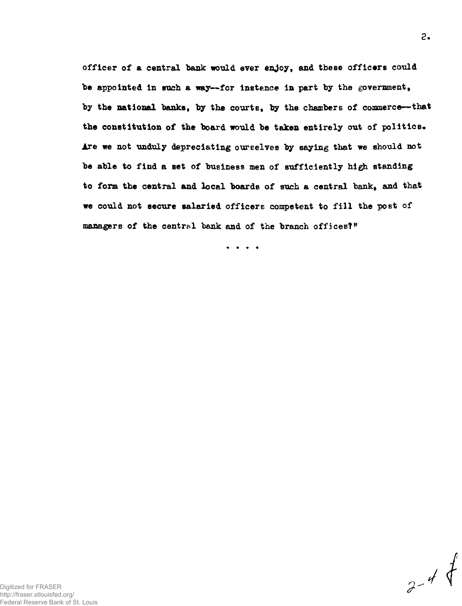officer of a central bank would ever enjoy, and these officers could **"be appointed in such a way—for instance in part by the government, by the national banks, by the courts, by the chambers of commerce—that the constitution of the board would be taken entirely out of politics\* Are we not unduly depreciating ourselves by saying that we should not be able to find a set of business men of sufficiently high standing to form the central and local boards of such a central tank, and that we could not secure salaried officers competent to fill the post of managers of the central bank and of the branch offices?"**

 $\begin{array}{cccccccccccccc} \bullet & \bullet & \bullet & \bullet & \bullet & \bullet \end{array}$ 

**2.**



 $3 - 44$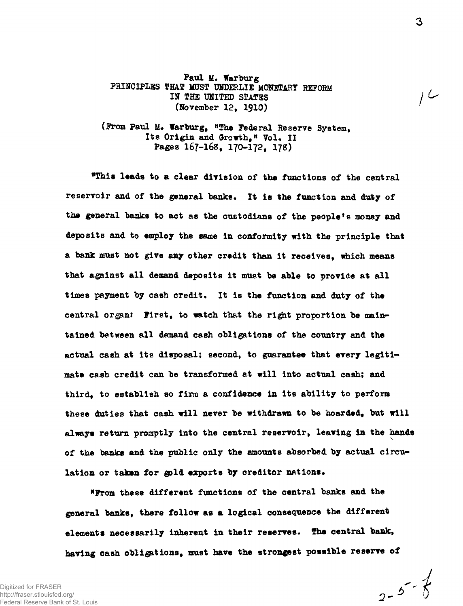**Paul M. Warburg PRINCIPLES THAT MUST UNDERLIE MONETARY REFORM IN THE UNITED STATES (November 12, 1910)**

**(Prom Paul M. Warburg, "The Federal Reserve System,** Its Origin and Growth." Vol. II **Pages 167-16S, 170-172, 178)**

**"This leads to a clear division of the functions of the central reservoir and of the general banks. It is the function and duty of the general banks to act as the custodians of the people's money and deposits and to employ the same in conformity with the principle that a bank must not give any other credit than it receives, which means that against all demand deposits it must be able to provide at all time8 payment by cash credit. It is the function and duty of the** central organ: **First**, to watch that the right proportion be main**tained between all demand cash obligations of the country and the actual cash at its disposal; second, to guarantee that every legitimate cash credit can be transformed at will into actual cash; and third, to establish so firm a confidence in its ability to perform these duties that cash will never be withdrawn to be hoarded, but will always return promptly into the central reservoir, leaving in the hands of the banks and the public only the amounts absorbed by actual circu**lation or taken for gold exports by creditor nations.

**"From these different functions of the central banks and the general banks, there follow as a logical consequence the different elements necessarily inherent in their reserves. The central bank, having cash obligations, must have the strongest possible reserve of**

Digitized for FRASER http://fraser.stlouisfed.org/ Federal Reserve Bank of St. Louis

 $2 - 5 - 5$ 

سا ا